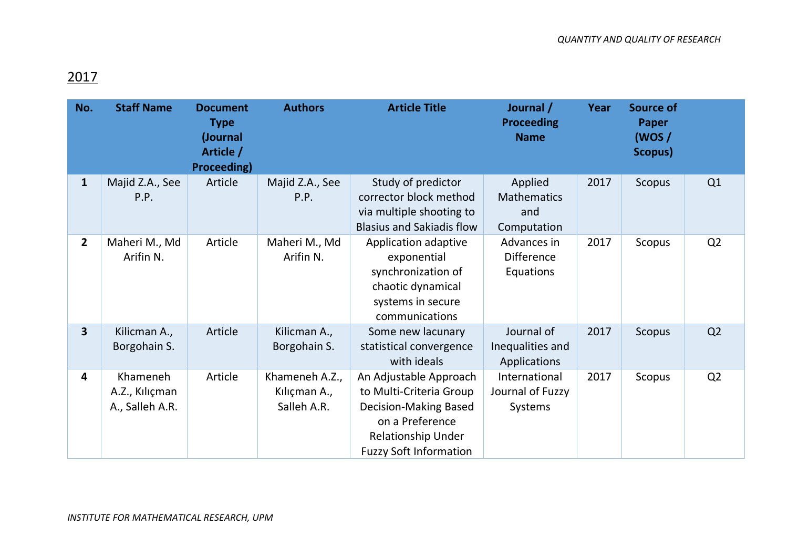## 2017

| No.                     | <b>Staff Name</b>                             | <b>Document</b><br><b>Type</b><br>(Journal<br>Article /<br><b>Proceeding)</b> | <b>Authors</b>                                | <b>Article Title</b>                                                                                                                                        | Journal /<br><b>Proceeding</b><br><b>Name</b>       | Year | <b>Source of</b><br><b>Paper</b><br>(WOS/<br>Scopus) |                |
|-------------------------|-----------------------------------------------|-------------------------------------------------------------------------------|-----------------------------------------------|-------------------------------------------------------------------------------------------------------------------------------------------------------------|-----------------------------------------------------|------|------------------------------------------------------|----------------|
| $\mathbf{1}$            | Majid Z.A., See<br>P.P.                       | Article                                                                       | Majid Z.A., See<br>P.P.                       | Study of predictor<br>corrector block method<br>via multiple shooting to<br><b>Blasius and Sakiadis flow</b>                                                | Applied<br><b>Mathematics</b><br>and<br>Computation | 2017 | Scopus                                               | Q1             |
| $\overline{2}$          | Maheri M., Md<br>Arifin N.                    | Article                                                                       | Maheri M., Md<br>Arifin N.                    | Application adaptive<br>exponential<br>synchronization of<br>chaotic dynamical<br>systems in secure<br>communications                                       | Advances in<br><b>Difference</b><br>Equations       | 2017 | Scopus                                               | Q <sub>2</sub> |
| $\overline{\mathbf{3}}$ | Kilicman A.,<br>Borgohain S.                  | Article                                                                       | Kilicman A.,<br>Borgohain S.                  | Some new lacunary<br>statistical convergence<br>with ideals                                                                                                 | Journal of<br>Inequalities and<br>Applications      | 2017 | Scopus                                               | Q2             |
| 4                       | Khameneh<br>A.Z., Kılıçman<br>A., Salleh A.R. | Article                                                                       | Khameneh A.Z.,<br>Kılıçman A.,<br>Salleh A.R. | An Adjustable Approach<br>to Multi-Criteria Group<br><b>Decision-Making Based</b><br>on a Preference<br>Relationship Under<br><b>Fuzzy Soft Information</b> | International<br>Journal of Fuzzy<br>Systems        | 2017 | Scopus                                               | Q <sub>2</sub> |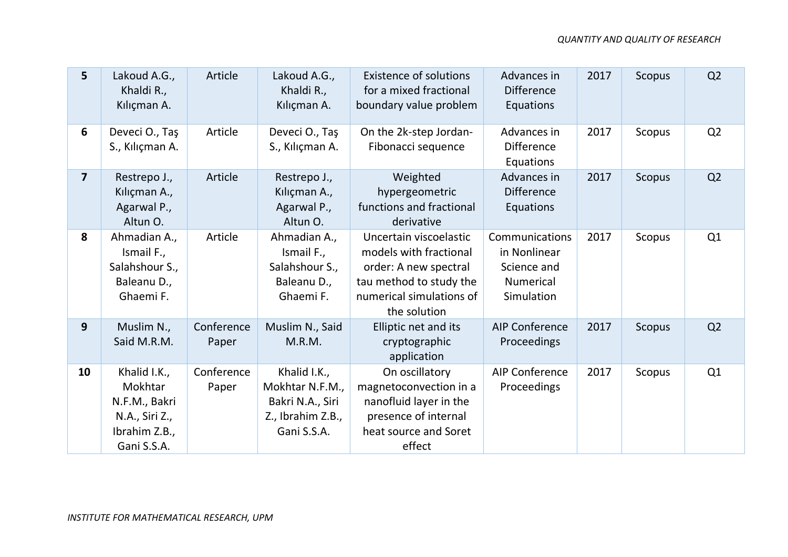| 5              | Lakoud A.G.,<br>Khaldi R.,<br>Kılıçman A.                                                  | Article             | Lakoud A.G.,<br>Khaldi R.,<br>Kılıçman A.                                               | <b>Existence of solutions</b><br>for a mixed fractional<br>boundary value problem                                                                | Advances in<br><b>Difference</b><br>Equations                                   | 2017 | Scopus | Q2             |
|----------------|--------------------------------------------------------------------------------------------|---------------------|-----------------------------------------------------------------------------------------|--------------------------------------------------------------------------------------------------------------------------------------------------|---------------------------------------------------------------------------------|------|--------|----------------|
| 6              | Deveci O., Taş<br>S., Kılıçman A.                                                          | Article             | Deveci O., Taş<br>S., Kılıçman A.                                                       | On the 2k-step Jordan-<br>Fibonacci sequence                                                                                                     | Advances in<br><b>Difference</b><br>Equations                                   | 2017 | Scopus | Q2             |
| $\overline{7}$ | Restrepo J.,<br>Kılıçman A.,<br>Agarwal P.,<br>Altun O.                                    | Article             | Restrepo J.,<br>Kılıçman A.,<br>Agarwal P.,<br>Altun O.                                 | Weighted<br>hypergeometric<br>functions and fractional<br>derivative                                                                             | Advances in<br><b>Difference</b><br>Equations                                   | 2017 | Scopus | Q2             |
| 8              | Ahmadian A.,<br>Ismail F.,<br>Salahshour S.,<br>Baleanu D.,<br>Ghaemi F.                   | Article             | Ahmadian A.,<br>Ismail F.,<br>Salahshour S.,<br>Baleanu D.,<br>Ghaemi F.                | Uncertain viscoelastic<br>models with fractional<br>order: A new spectral<br>tau method to study the<br>numerical simulations of<br>the solution | Communications<br>in Nonlinear<br>Science and<br><b>Numerical</b><br>Simulation | 2017 | Scopus | Q1             |
| 9              | Muslim N.,<br>Said M.R.M.                                                                  | Conference<br>Paper | Muslim N., Said<br>M.R.M.                                                               | Elliptic net and its<br>cryptographic<br>application                                                                                             | <b>AIP Conference</b><br>Proceedings                                            | 2017 | Scopus | Q <sub>2</sub> |
| 10             | Khalid I.K.,<br>Mokhtar<br>N.F.M., Bakri<br>N.A., Siri Z.,<br>Ibrahim Z.B.,<br>Gani S.S.A. | Conference<br>Paper | Khalid I.K.,<br>Mokhtar N.F.M.,<br>Bakri N.A., Siri<br>Z., Ibrahim Z.B.,<br>Gani S.S.A. | On oscillatory<br>magnetoconvection in a<br>nanofluid layer in the<br>presence of internal<br>heat source and Soret<br>effect                    | <b>AIP Conference</b><br>Proceedings                                            | 2017 | Scopus | Q1             |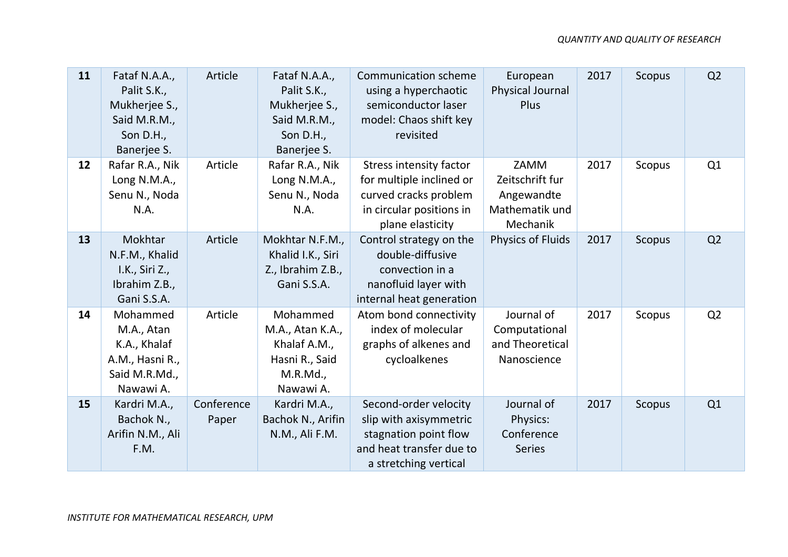| 11 | Fataf N.A.A.,<br>Palit S.K.,<br>Mukherjee S.,<br>Said M.R.M.,<br>Son D.H.,<br>Banerjee S. | Article             | Fataf N.A.A.,<br>Palit S.K.,<br>Mukherjee S.,<br>Said M.R.M.,<br>Son D.H.,<br>Banerjee S. | <b>Communication scheme</b><br>using a hyperchaotic<br>semiconductor laser<br>model: Chaos shift key<br>revisited                   | European<br>Physical Journal<br>Plus                                | 2017 | Scopus        | Q2 |
|----|-------------------------------------------------------------------------------------------|---------------------|-------------------------------------------------------------------------------------------|-------------------------------------------------------------------------------------------------------------------------------------|---------------------------------------------------------------------|------|---------------|----|
| 12 | Rafar R.A., Nik<br>Long N.M.A.,<br>Senu N., Noda<br>N.A.                                  | Article             | Rafar R.A., Nik<br>Long N.M.A.,<br>Senu N., Noda<br>N.A.                                  | <b>Stress intensity factor</b><br>for multiple inclined or<br>curved cracks problem<br>in circular positions in<br>plane elasticity | ZAMM<br>Zeitschrift fur<br>Angewandte<br>Mathematik und<br>Mechanik | 2017 | Scopus        | Q1 |
| 13 | Mokhtar<br>N.F.M., Khalid<br>I.K., Siri Z.,<br>Ibrahim Z.B.,<br>Gani S.S.A.               | Article             | Mokhtar N.F.M.,<br>Khalid I.K., Siri<br>Z., Ibrahim Z.B.,<br>Gani S.S.A.                  | Control strategy on the<br>double-diffusive<br>convection in a<br>nanofluid layer with<br>internal heat generation                  | <b>Physics of Fluids</b>                                            | 2017 | <b>Scopus</b> | Q2 |
| 14 | Mohammed<br>M.A., Atan<br>K.A., Khalaf<br>A.M., Hasni R.,<br>Said M.R.Md.,<br>Nawawi A.   | Article             | Mohammed<br>M.A., Atan K.A.,<br>Khalaf A.M.,<br>Hasni R., Said<br>M.R.Md.,<br>Nawawi A.   | Atom bond connectivity<br>index of molecular<br>graphs of alkenes and<br>cycloalkenes                                               | Journal of<br>Computational<br>and Theoretical<br>Nanoscience       | 2017 | Scopus        | Q2 |
| 15 | Kardri M.A.,<br>Bachok N.,<br>Arifin N.M., Ali<br>F.M.                                    | Conference<br>Paper | Kardri M.A.,<br>Bachok N., Arifin<br>N.M., Ali F.M.                                       | Second-order velocity<br>slip with axisymmetric<br>stagnation point flow<br>and heat transfer due to<br>a stretching vertical       | Journal of<br>Physics:<br>Conference<br><b>Series</b>               | 2017 | <b>Scopus</b> | Q1 |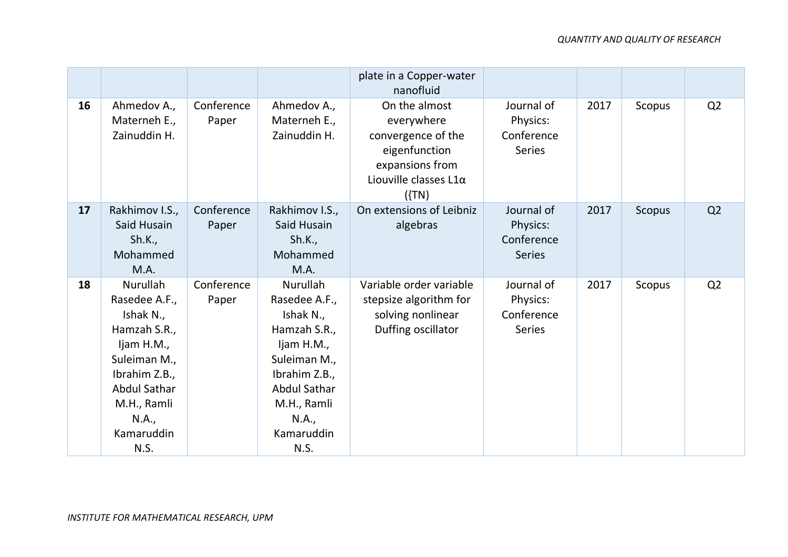## *QUANTITY AND QUALITY OF RESEARCH*

|    |                                                                                                                                                                                   |                     |                                                                                                                                                                                   | plate in a Copper-water<br>nanofluid                                                                                         |                                                       |      |        |                |
|----|-----------------------------------------------------------------------------------------------------------------------------------------------------------------------------------|---------------------|-----------------------------------------------------------------------------------------------------------------------------------------------------------------------------------|------------------------------------------------------------------------------------------------------------------------------|-------------------------------------------------------|------|--------|----------------|
| 16 | Ahmedov A.,<br>Materneh E.,<br>Zainuddin H.                                                                                                                                       | Conference<br>Paper | Ahmedov A.,<br>Materneh E.,<br>Zainuddin H.                                                                                                                                       | On the almost<br>everywhere<br>convergence of the<br>eigenfunction<br>expansions from<br>Liouville classes $L1\alpha$<br>(1) | Journal of<br>Physics:<br>Conference<br><b>Series</b> | 2017 | Scopus | Q2             |
| 17 | Rakhimov I.S.,<br>Said Husain<br>Sh.K.,<br>Mohammed<br>M.A.                                                                                                                       | Conference<br>Paper | Rakhimov I.S.,<br>Said Husain<br>Sh.K.,<br>Mohammed<br>M.A.                                                                                                                       | On extensions of Leibniz<br>algebras                                                                                         | Journal of<br>Physics:<br>Conference<br><b>Series</b> | 2017 | Scopus | Q <sub>2</sub> |
| 18 | <b>Nurullah</b><br>Rasedee A.F.,<br>Ishak N.,<br>Hamzah S.R.,<br>Ijam H.M.,<br>Suleiman M.,<br>Ibrahim Z.B.,<br><b>Abdul Sathar</b><br>M.H., Ramli<br>N.A.,<br>Kamaruddin<br>N.S. | Conference<br>Paper | <b>Nurullah</b><br>Rasedee A.F.,<br>Ishak N.,<br>Hamzah S.R.,<br>Ijam H.M.,<br>Suleiman M.,<br>Ibrahim Z.B.,<br><b>Abdul Sathar</b><br>M.H., Ramli<br>N.A.,<br>Kamaruddin<br>N.S. | Variable order variable<br>stepsize algorithm for<br>solving nonlinear<br>Duffing oscillator                                 | Journal of<br>Physics:<br>Conference<br><b>Series</b> | 2017 | Scopus | Q <sub>2</sub> |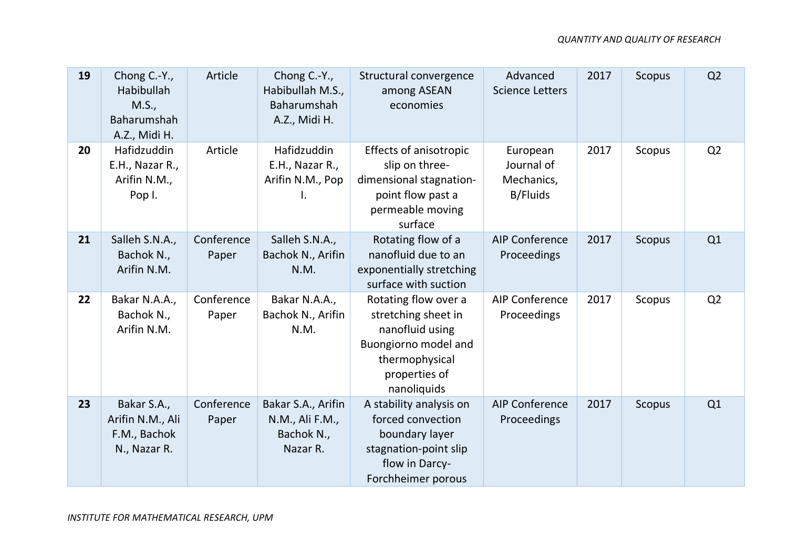| 19 | Chong C.-Y.,<br>Habibullah<br>M.S.,<br>Baharumshah<br>A.Z., Midi H. | Article             | Chong C.-Y.,<br>Habibullah M.S.,<br>Baharumshah<br>A.Z., Midi H. | Structural convergence<br>among ASEAN<br>economies                                                                                       | Advanced<br><b>Science Letters</b>                      | 2017 | <b>Scopus</b> | Q <sub>2</sub> |
|----|---------------------------------------------------------------------|---------------------|------------------------------------------------------------------|------------------------------------------------------------------------------------------------------------------------------------------|---------------------------------------------------------|------|---------------|----------------|
| 20 | Hafidzuddin<br>E.H., Nazar R.,<br>Arifin N.M.,<br>Pop I.            | Article             | Hafidzuddin<br>E.H., Nazar R.,<br>Arifin N.M., Pop               | <b>Effects of anisotropic</b><br>slip on three-<br>dimensional stagnation-<br>point flow past a<br>permeable moving<br>surface           | European<br>Journal of<br>Mechanics,<br><b>B/Fluids</b> | 2017 | Scopus        | Q <sub>2</sub> |
| 21 | Salleh S.N.A.,<br>Bachok N.,<br>Arifin N.M.                         | Conference<br>Paper | Salleh S.N.A.,<br>Bachok N., Arifin<br>N.M.                      | Rotating flow of a<br>nanofluid due to an<br>exponentially stretching<br>surface with suction                                            | <b>AIP Conference</b><br>Proceedings                    | 2017 | <b>Scopus</b> | Q1             |
| 22 | Bakar N.A.A.,<br>Bachok N.,<br>Arifin N.M.                          | Conference<br>Paper | Bakar N.A.A.,<br>Bachok N., Arifin<br>N.M.                       | Rotating flow over a<br>stretching sheet in<br>nanofluid using<br>Buongiorno model and<br>thermophysical<br>properties of<br>nanoliquids | <b>AIP Conference</b><br>Proceedings                    | 2017 | Scopus        | Q <sub>2</sub> |
| 23 | Bakar S.A.,<br>Arifin N.M., Ali<br>F.M., Bachok<br>N., Nazar R.     | Conference<br>Paper | Bakar S.A., Arifin<br>N.M., Ali F.M.,<br>Bachok N.,<br>Nazar R.  | A stability analysis on<br>forced convection<br>boundary layer<br>stagnation-point slip<br>flow in Darcy-<br>Forchheimer porous          | <b>AIP Conference</b><br>Proceedings                    | 2017 | <b>Scopus</b> | Q1             |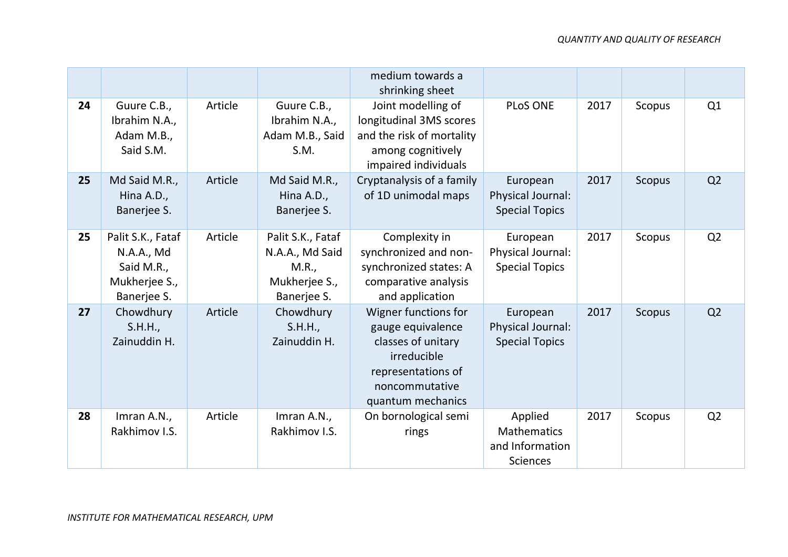|    |                                                                               |         |                                                                               | medium towards a<br>shrinking sheet                                                                                                         |                                                                     |      |               |                |
|----|-------------------------------------------------------------------------------|---------|-------------------------------------------------------------------------------|---------------------------------------------------------------------------------------------------------------------------------------------|---------------------------------------------------------------------|------|---------------|----------------|
| 24 | Guure C.B.,<br>Ibrahim N.A.,<br>Adam M.B.,<br>Said S.M.                       | Article | Guure C.B.,<br>Ibrahim N.A.,<br>Adam M.B., Said<br>S.M.                       | Joint modelling of<br>longitudinal 3MS scores<br>and the risk of mortality<br>among cognitively<br>impaired individuals                     | <b>PLoS ONE</b>                                                     | 2017 | Scopus        | Q1             |
| 25 | Md Said M.R.,<br>Hina A.D.,<br>Banerjee S.                                    | Article | Md Said M.R.,<br>Hina A.D.,<br>Banerjee S.                                    | Cryptanalysis of a family<br>of 1D unimodal maps                                                                                            | European<br>Physical Journal:<br><b>Special Topics</b>              | 2017 | Scopus        | Q <sub>2</sub> |
| 25 | Palit S.K., Fataf<br>N.A.A., Md<br>Said M.R.,<br>Mukherjee S.,<br>Banerjee S. | Article | Palit S.K., Fataf<br>N.A.A., Md Said<br>M.R.,<br>Mukherjee S.,<br>Banerjee S. | Complexity in<br>synchronized and non-<br>synchronized states: A<br>comparative analysis<br>and application                                 | European<br>Physical Journal:<br><b>Special Topics</b>              | 2017 | Scopus        | Q <sub>2</sub> |
| 27 | Chowdhury<br>S.H.H.,<br>Zainuddin H.                                          | Article | Chowdhury<br>S.H.H.,<br>Zainuddin H.                                          | Wigner functions for<br>gauge equivalence<br>classes of unitary<br>irreducible<br>representations of<br>noncommutative<br>quantum mechanics | European<br>Physical Journal:<br><b>Special Topics</b>              | 2017 | <b>Scopus</b> | Q <sub>2</sub> |
| 28 | Imran A.N.,<br>Rakhimov I.S.                                                  | Article | Imran A.N.,<br>Rakhimov I.S.                                                  | On bornological semi<br>rings                                                                                                               | Applied<br><b>Mathematics</b><br>and Information<br><b>Sciences</b> | 2017 | Scopus        | Q <sub>2</sub> |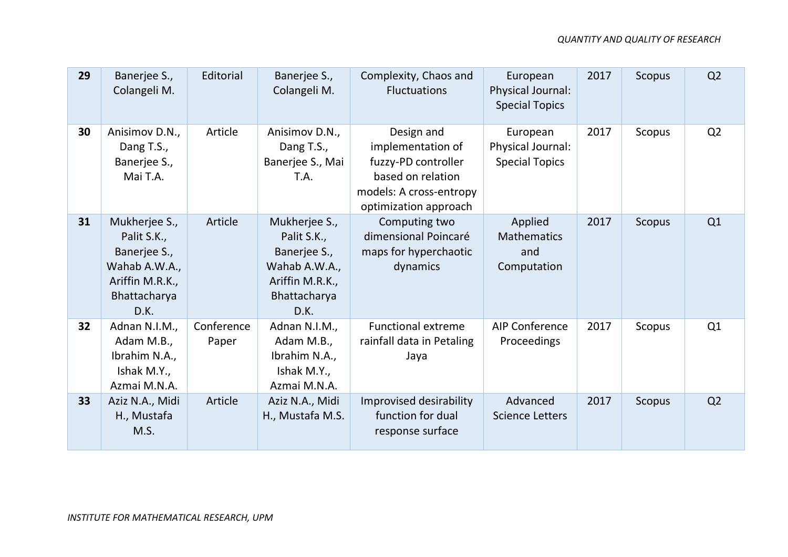| 29 | Banerjee S.,<br>Colangeli M.                                                                             | Editorial           | Banerjee S.,<br>Colangeli M.                                                                             | Complexity, Chaos and<br><b>Fluctuations</b>                                                                                    | European<br>Physical Journal:<br><b>Special Topics</b> | 2017 | Scopus | Q <sub>2</sub> |
|----|----------------------------------------------------------------------------------------------------------|---------------------|----------------------------------------------------------------------------------------------------------|---------------------------------------------------------------------------------------------------------------------------------|--------------------------------------------------------|------|--------|----------------|
| 30 | Anisimov D.N.,<br>Dang T.S.,<br>Banerjee S.,<br>Mai T.A.                                                 | Article             | Anisimov D.N.,<br>Dang T.S.,<br>Banerjee S., Mai<br>T.A.                                                 | Design and<br>implementation of<br>fuzzy-PD controller<br>based on relation<br>models: A cross-entropy<br>optimization approach | European<br>Physical Journal:<br><b>Special Topics</b> | 2017 | Scopus | Q2             |
| 31 | Mukherjee S.,<br>Palit S.K.,<br>Banerjee S.,<br>Wahab A.W.A.,<br>Ariffin M.R.K.,<br>Bhattacharya<br>D.K. | Article             | Mukherjee S.,<br>Palit S.K.,<br>Banerjee S.,<br>Wahab A.W.A.,<br>Ariffin M.R.K.,<br>Bhattacharya<br>D.K. | Computing two<br>dimensional Poincaré<br>maps for hyperchaotic<br>dynamics                                                      | Applied<br><b>Mathematics</b><br>and<br>Computation    | 2017 | Scopus | Q1             |
| 32 | Adnan N.I.M.,<br>Adam M.B.,<br>Ibrahim N.A.,<br>Ishak M.Y.,<br>Azmai M.N.A.                              | Conference<br>Paper | Adnan N.I.M.,<br>Adam M.B.,<br>Ibrahim N.A.,<br>Ishak M.Y.,<br>Azmai M.N.A.                              | <b>Functional extreme</b><br>rainfall data in Petaling<br>Jaya                                                                  | <b>AIP Conference</b><br><b>Proceedings</b>            | 2017 | Scopus | Q1             |
| 33 | Aziz N.A., Midi<br>H., Mustafa<br>M.S.                                                                   | Article             | Aziz N.A., Midi<br>H., Mustafa M.S.                                                                      | Improvised desirability<br>function for dual<br>response surface                                                                | Advanced<br><b>Science Letters</b>                     | 2017 | Scopus | Q2             |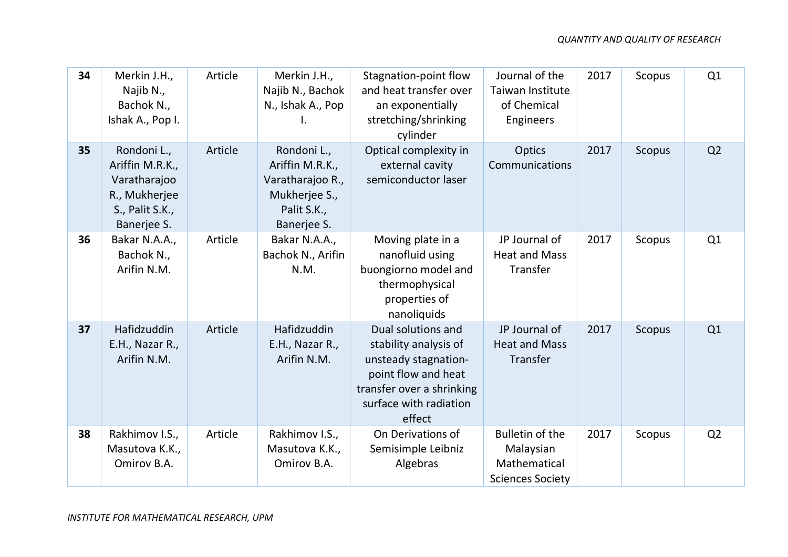| 34 | Merkin J.H.,<br>Najib N.,<br>Bachok N.,<br>Ishak A., Pop I.                                       | Article | Merkin J.H.,<br>Najib N., Bachok<br>N., Ishak A., Pop<br>I.                                       | Stagnation-point flow<br>and heat transfer over<br>an exponentially<br>stretching/shrinking<br>cylinder                                                     | Journal of the<br>Taiwan Institute<br>of Chemical<br>Engineers                 | 2017 | Scopus        | Q1             |
|----|---------------------------------------------------------------------------------------------------|---------|---------------------------------------------------------------------------------------------------|-------------------------------------------------------------------------------------------------------------------------------------------------------------|--------------------------------------------------------------------------------|------|---------------|----------------|
| 35 | Rondoni L.,<br>Ariffin M.R.K.,<br>Varatharajoo<br>R., Mukherjee<br>S., Palit S.K.,<br>Banerjee S. | Article | Rondoni L.,<br>Ariffin M.R.K.,<br>Varatharajoo R.,<br>Mukherjee S.,<br>Palit S.K.,<br>Banerjee S. | Optical complexity in<br>external cavity<br>semiconductor laser                                                                                             | Optics<br>Communications                                                       | 2017 | <b>Scopus</b> | Q2             |
| 36 | Bakar N.A.A.,<br>Bachok N.,<br>Arifin N.M.                                                        | Article | Bakar N.A.A.,<br>Bachok N., Arifin<br>N.M.                                                        | Moving plate in a<br>nanofluid using<br>buongiorno model and<br>thermophysical<br>properties of<br>nanoliquids                                              | JP Journal of<br><b>Heat and Mass</b><br>Transfer                              | 2017 | Scopus        | Q1             |
| 37 | Hafidzuddin<br>E.H., Nazar R.,<br>Arifin N.M.                                                     | Article | Hafidzuddin<br>E.H., Nazar R.,<br>Arifin N.M.                                                     | Dual solutions and<br>stability analysis of<br>unsteady stagnation-<br>point flow and heat<br>transfer over a shrinking<br>surface with radiation<br>effect | JP Journal of<br><b>Heat and Mass</b><br>Transfer                              | 2017 | <b>Scopus</b> | Q1             |
| 38 | Rakhimov I.S.,<br>Masutova K.K.,<br>Omirov B.A.                                                   | Article | Rakhimov I.S.,<br>Masutova K.K.,<br>Omirov B.A.                                                   | On Derivations of<br>Semisimple Leibniz<br>Algebras                                                                                                         | <b>Bulletin of the</b><br>Malaysian<br>Mathematical<br><b>Sciences Society</b> | 2017 | Scopus        | Q <sub>2</sub> |